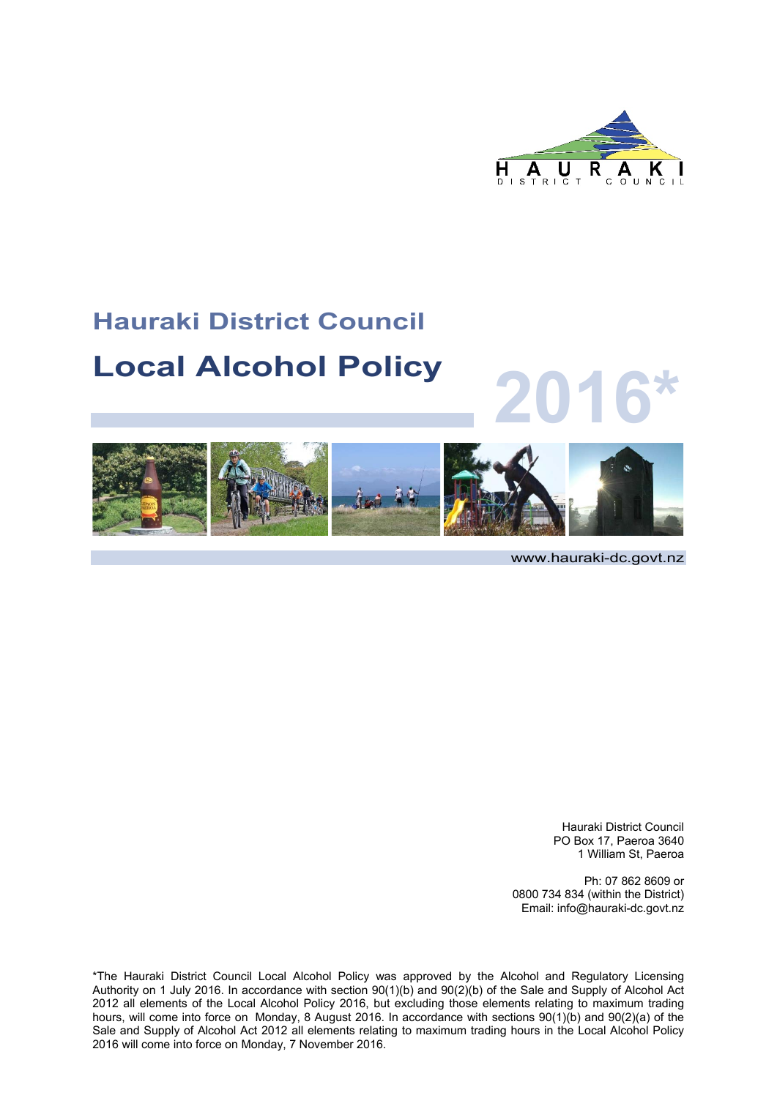

### **Hauraki District Council**

### **Local Alcohol Policy**



www.hauraki-dc.govt.nz

**2016\***

Hauraki District Council PO Box 17, Paeroa 3640 1 William St, Paeroa

Ph: 07 862 8609 or 0800 734 834 (within the District) Email: info@hauraki-dc.govt.nz

\*The Hauraki District Council Local Alcohol Policy was approved by the Alcohol and Regulatory Licensing Authority on 1 July 2016. In accordance with section 90(1)(b) and 90(2)(b) of the Sale and Supply of Alcohol Act 2012 all elements of the Local Alcohol Policy 2016, but excluding those elements relating to maximum trading hours, will come into force on Monday, 8 August 2016. In accordance with sections 90(1)(b) and 90(2)(a) of the Sale and Supply of Alcohol Act 2012 all elements relating to maximum trading hours in the Local Alcohol Policy 2016 will come into force on Monday, 7 November 2016.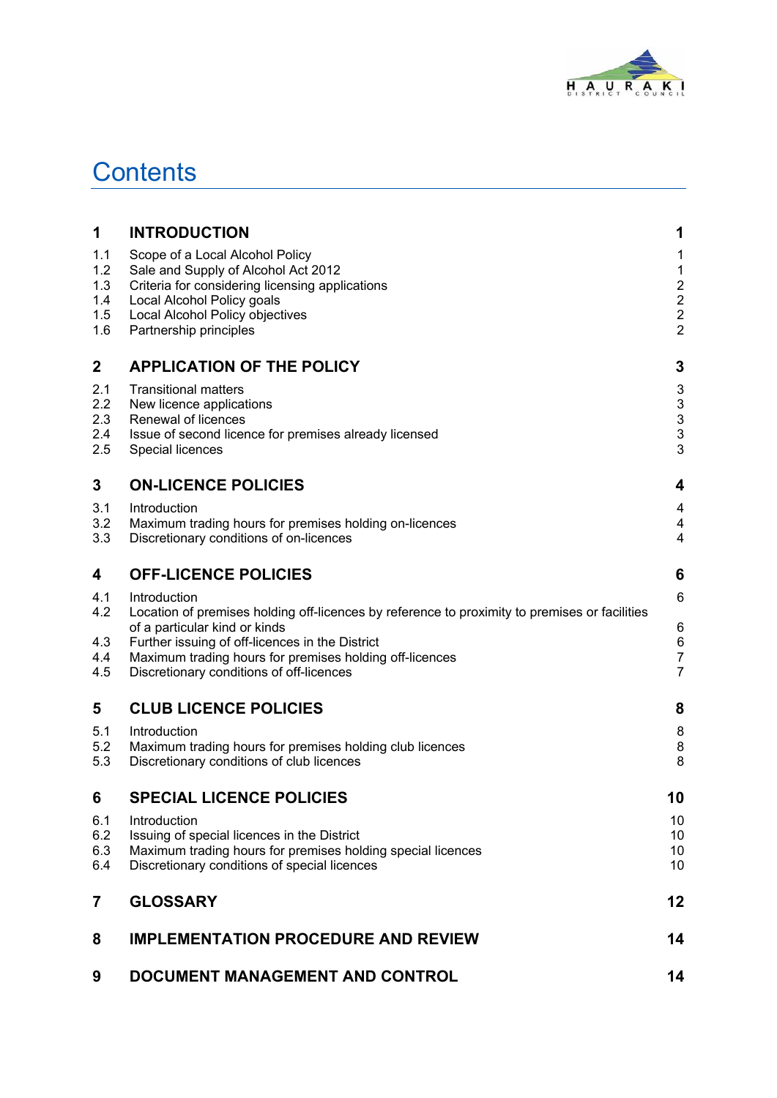

### **Contents**

| $\overline{7}$                         | <b>GLOSSARY</b>                                                                                                                                                                                                      | 12                                                                               |
|----------------------------------------|----------------------------------------------------------------------------------------------------------------------------------------------------------------------------------------------------------------------|----------------------------------------------------------------------------------|
| 6.1<br>6.2<br>6.3<br>6.4               | Introduction<br>Issuing of special licences in the District<br>Maximum trading hours for premises holding special licences<br>Discretionary conditions of special licences                                           | 10<br>10<br>10<br>10                                                             |
| 6                                      | <b>SPECIAL LICENCE POLICIES</b>                                                                                                                                                                                      | 10                                                                               |
| 5.1<br>5.2<br>5.3                      | Introduction<br>Maximum trading hours for premises holding club licences<br>Discretionary conditions of club licences                                                                                                | 8<br>8<br>8                                                                      |
| 5                                      | <b>CLUB LICENCE POLICIES</b>                                                                                                                                                                                         | 8                                                                                |
| 4.3<br>4.4<br>4.5                      | of a particular kind or kinds<br>Further issuing of off-licences in the District<br>Maximum trading hours for premises holding off-licences<br>Discretionary conditions of off-licences                              | 6<br>$\,6$<br>$\overline{7}$<br>$\overline{7}$                                   |
| 4.1<br>4.2                             | Introduction<br>Location of premises holding off-licences by reference to proximity to premises or facilities                                                                                                        | 6                                                                                |
| 4                                      | <b>OFF-LICENCE POLICIES</b>                                                                                                                                                                                          | 6                                                                                |
| 3.1<br>3.2<br>3.3                      | Introduction<br>Maximum trading hours for premises holding on-licences<br>Discretionary conditions of on-licences                                                                                                    | 4<br>$\overline{\mathbf{4}}$<br>4                                                |
| 3                                      | <b>ON-LICENCE POLICIES</b>                                                                                                                                                                                           | 4                                                                                |
| 2.1<br>2.2<br>2.3<br>2.4<br>2.5        | <b>Transitional matters</b><br>New licence applications<br>Renewal of licences<br>Issue of second licence for premises already licensed<br>Special licences                                                          | 3<br>$\ensuremath{\mathsf{3}}$<br>3<br>3<br>3                                    |
| 2                                      | <b>APPLICATION OF THE POLICY</b>                                                                                                                                                                                     | 3                                                                                |
| 1.1<br>1.2<br>1.3<br>1.4<br>1.5<br>1.6 | Scope of a Local Alcohol Policy<br>Sale and Supply of Alcohol Act 2012<br>Criteria for considering licensing applications<br>Local Alcohol Policy goals<br>Local Alcohol Policy objectives<br>Partnership principles | 1<br>$\mathbf 1$<br>$\begin{array}{c} 2 \\ 2 \\ 2 \end{array}$<br>$\overline{2}$ |
| 1                                      | <b>INTRODUCTION</b>                                                                                                                                                                                                  | 1                                                                                |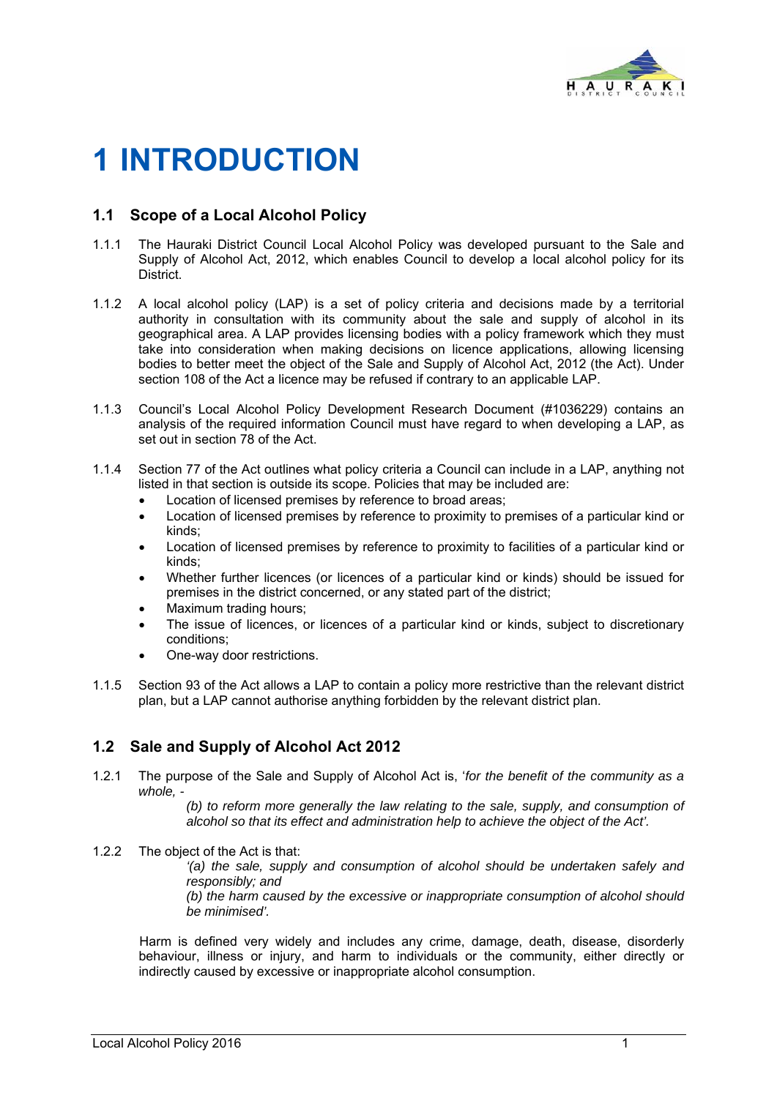

## **1 INTRODUCTION**

### **1.1 Scope of a Local Alcohol Policy**

- 1.1.1 The Hauraki District Council Local Alcohol Policy was developed pursuant to the Sale and Supply of Alcohol Act, 2012, which enables Council to develop a local alcohol policy for its District.
- 1.1.2 A local alcohol policy (LAP) is a set of policy criteria and decisions made by a territorial authority in consultation with its community about the sale and supply of alcohol in its geographical area. A LAP provides licensing bodies with a policy framework which they must take into consideration when making decisions on licence applications, allowing licensing bodies to better meet the object of the Sale and Supply of Alcohol Act, 2012 (the Act). Under section 108 of the Act a licence may be refused if contrary to an applicable LAP.
- 1.1.3 Council's Local Alcohol Policy Development Research Document (#1036229) contains an analysis of the required information Council must have regard to when developing a LAP, as set out in section 78 of the Act.
- 1.1.4 Section 77 of the Act outlines what policy criteria a Council can include in a LAP, anything not listed in that section is outside its scope. Policies that may be included are:
	- Location of licensed premises by reference to broad areas;
	- Location of licensed premises by reference to proximity to premises of a particular kind or kinds;
	- Location of licensed premises by reference to proximity to facilities of a particular kind or kinds;
	- Whether further licences (or licences of a particular kind or kinds) should be issued for premises in the district concerned, or any stated part of the district;
	- Maximum trading hours;
	- The issue of licences, or licences of a particular kind or kinds, subject to discretionary conditions;
	- One-way door restrictions.
- 1.1.5 Section 93 of the Act allows a LAP to contain a policy more restrictive than the relevant district plan, but a LAP cannot authorise anything forbidden by the relevant district plan.

### **1.2 Sale and Supply of Alcohol Act 2012**

1.2.1 The purpose of the Sale and Supply of Alcohol Act is, '*for the benefit of the community as a whole, -* 

*(b) to reform more generally the law relating to the sale, supply, and consumption of alcohol so that its effect and administration help to achieve the object of the Act'.*

1.2.2 The object of the Act is that:

*'(a) the sale, supply and consumption of alcohol should be undertaken safely and responsibly; and* 

*(b) the harm caused by the excessive or inappropriate consumption of alcohol should be minimised'.* 

 Harm is defined very widely and includes any crime, damage, death, disease, disorderly behaviour, illness or injury, and harm to individuals or the community, either directly or indirectly caused by excessive or inappropriate alcohol consumption.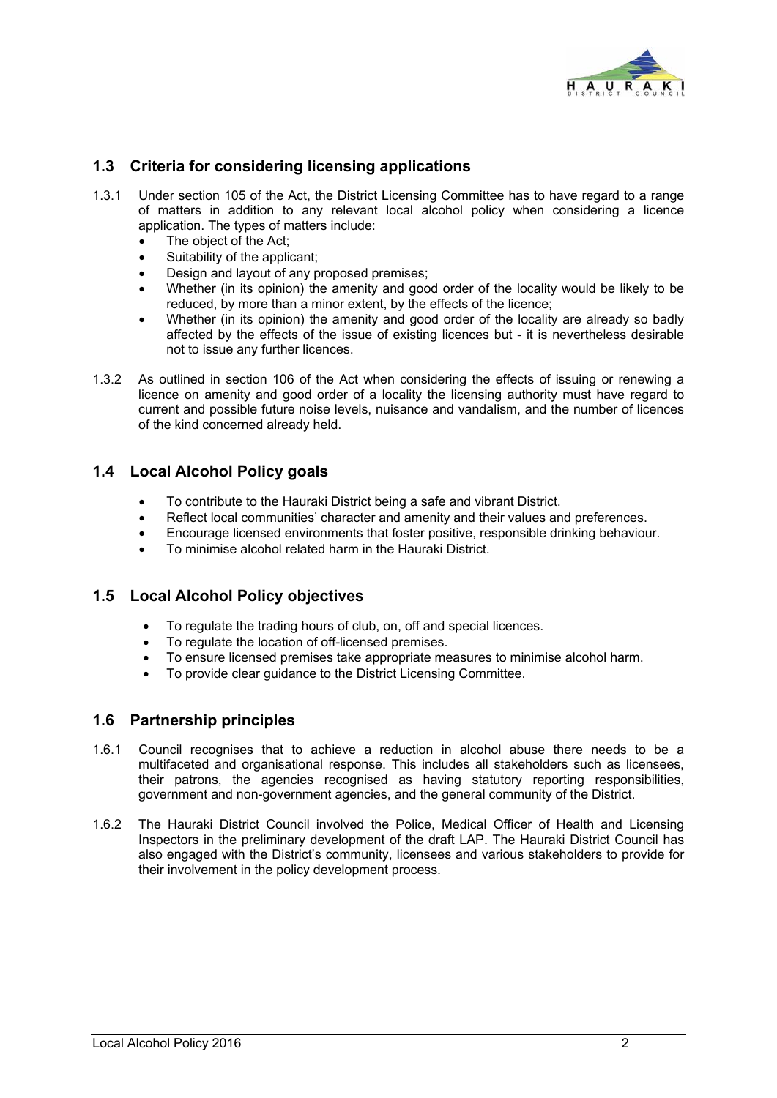

### **1.3 Criteria for considering licensing applications**

- 1.3.1 Under section 105 of the Act, the District Licensing Committee has to have regard to a range of matters in addition to any relevant local alcohol policy when considering a licence application. The types of matters include:
	- The object of the Act;
	- Suitability of the applicant;
	- Design and layout of any proposed premises;
	- Whether (in its opinion) the amenity and good order of the locality would be likely to be reduced, by more than a minor extent, by the effects of the licence;
	- Whether (in its opinion) the amenity and good order of the locality are already so badly affected by the effects of the issue of existing licences but - it is nevertheless desirable not to issue any further licences.
- 1.3.2 As outlined in section 106 of the Act when considering the effects of issuing or renewing a licence on amenity and good order of a locality the licensing authority must have regard to current and possible future noise levels, nuisance and vandalism, and the number of licences of the kind concerned already held.

#### **1.4 Local Alcohol Policy goals**

- To contribute to the Hauraki District being a safe and vibrant District.
- Reflect local communities' character and amenity and their values and preferences.
- Encourage licensed environments that foster positive, responsible drinking behaviour.
- To minimise alcohol related harm in the Hauraki District.

#### **1.5 Local Alcohol Policy objectives**

- To regulate the trading hours of club, on, off and special licences.
- To regulate the location of off-licensed premises.
- To ensure licensed premises take appropriate measures to minimise alcohol harm.
- To provide clear guidance to the District Licensing Committee.

#### **1.6 Partnership principles**

- 1.6.1 Council recognises that to achieve a reduction in alcohol abuse there needs to be a multifaceted and organisational response. This includes all stakeholders such as licensees, their patrons, the agencies recognised as having statutory reporting responsibilities, government and non-government agencies, and the general community of the District.
- 1.6.2 The Hauraki District Council involved the Police, Medical Officer of Health and Licensing Inspectors in the preliminary development of the draft LAP. The Hauraki District Council has also engaged with the District's community, licensees and various stakeholders to provide for their involvement in the policy development process.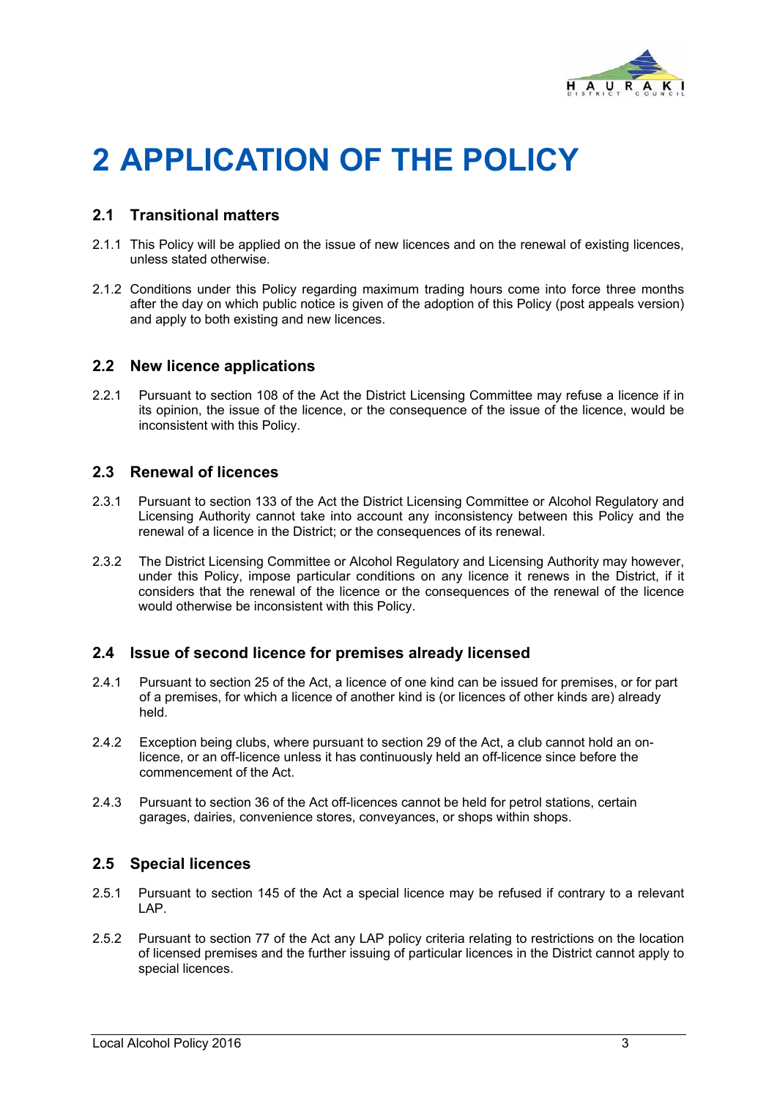

# **2 APPLICATION OF THE POLICY**

### **2.1 Transitional matters**

- 2.1.1 This Policy will be applied on the issue of new licences and on the renewal of existing licences, unless stated otherwise.
- 2.1.2 Conditions under this Policy regarding maximum trading hours come into force three months after the day on which public notice is given of the adoption of this Policy (post appeals version) and apply to both existing and new licences.

#### **2.2 New licence applications**

2.2.1 Pursuant to section 108 of the Act the District Licensing Committee may refuse a licence if in its opinion, the issue of the licence, or the consequence of the issue of the licence, would be inconsistent with this Policy.

#### **2.3 Renewal of licences**

- 2.3.1 Pursuant to section 133 of the Act the District Licensing Committee or Alcohol Regulatory and Licensing Authority cannot take into account any inconsistency between this Policy and the renewal of a licence in the District; or the consequences of its renewal.
- 2.3.2 The District Licensing Committee or Alcohol Regulatory and Licensing Authority may however, under this Policy, impose particular conditions on any licence it renews in the District, if it considers that the renewal of the licence or the consequences of the renewal of the licence would otherwise be inconsistent with this Policy.

#### **2.4 Issue of second licence for premises already licensed**

- 2.4.1 Pursuant to section 25 of the Act, a licence of one kind can be issued for premises, or for part of a premises, for which a licence of another kind is (or licences of other kinds are) already held.
- 2.4.2 Exception being clubs, where pursuant to section 29 of the Act, a club cannot hold an onlicence, or an off-licence unless it has continuously held an off-licence since before the commencement of the Act.
- 2.4.3 Pursuant to section 36 of the Act off-licences cannot be held for petrol stations, certain garages, dairies, convenience stores, conveyances, or shops within shops.

#### **2.5 Special licences**

- 2.5.1 Pursuant to section 145 of the Act a special licence may be refused if contrary to a relevant LAP.
- 2.5.2 Pursuant to section 77 of the Act any LAP policy criteria relating to restrictions on the location of licensed premises and the further issuing of particular licences in the District cannot apply to special licences.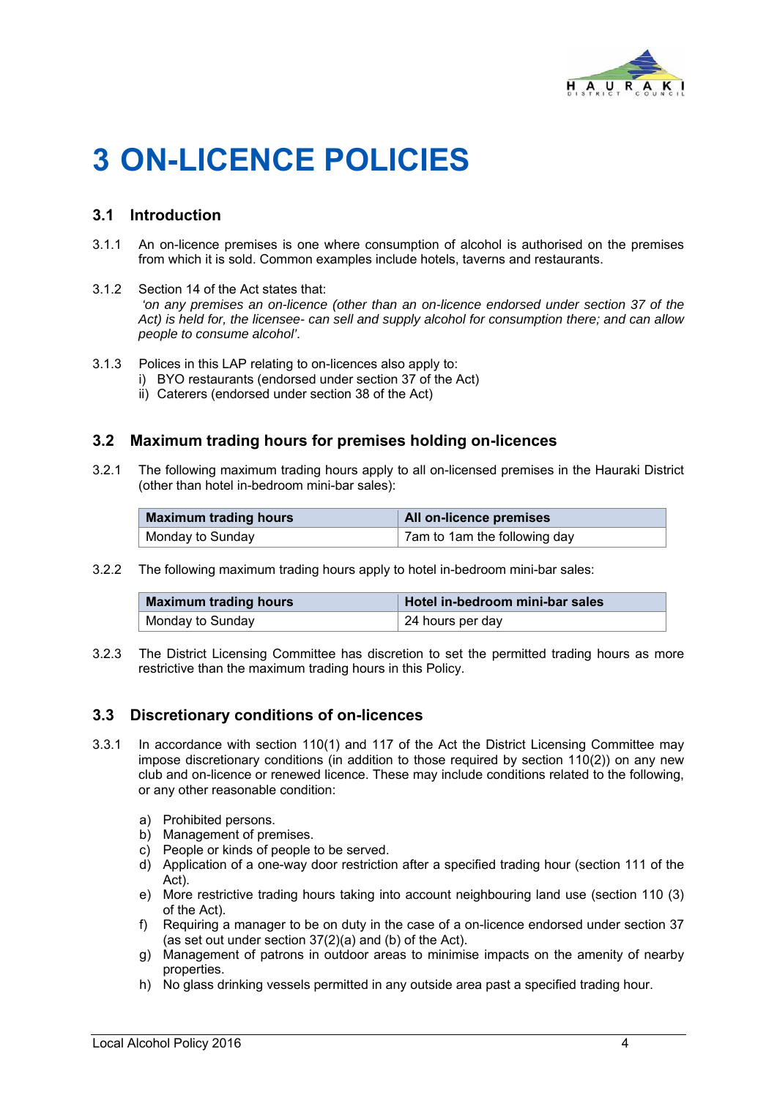

# **3 ON-LICENCE POLICIES**

### **3.1 Introduction**

- 3.1.1 An on-licence premises is one where consumption of alcohol is authorised on the premises from which it is sold. Common examples include hotels, taverns and restaurants.
- 3.1.2 Section 14 of the Act states that: *'on any premises an on-licence (other than an on-licence endorsed under section 37 of the Act) is held for, the licensee- can sell and supply alcohol for consumption there; and can allow people to consume alcohol'*.
- 3.1.3 Polices in this LAP relating to on-licences also apply to:
	- i) BYO restaurants (endorsed under section 37 of the Act)
	- ii) Caterers (endorsed under section 38 of the Act)

#### **3.2 Maximum trading hours for premises holding on-licences**

3.2.1 The following maximum trading hours apply to all on-licensed premises in the Hauraki District (other than hotel in-bedroom mini-bar sales):

| <b>Maximum trading hours</b> | All on-licence premises      |  |
|------------------------------|------------------------------|--|
| Monday to Sunday             | 7am to 1am the following day |  |

3.2.2 The following maximum trading hours apply to hotel in-bedroom mini-bar sales:

| <b>Maximum trading hours</b> | Hotel in-bedroom mini-bar sales |  |  |
|------------------------------|---------------------------------|--|--|
| Monday to Sunday             | 24 hours per day                |  |  |

3.2.3 The District Licensing Committee has discretion to set the permitted trading hours as more restrictive than the maximum trading hours in this Policy.

#### **3.3 Discretionary conditions of on-licences**

- 3.3.1 In accordance with section 110(1) and 117 of the Act the District Licensing Committee may impose discretionary conditions (in addition to those required by section 110(2)) on any new club and on-licence or renewed licence. These may include conditions related to the following, or any other reasonable condition:
	- a) Prohibited persons.
	- b) Management of premises.
	- c) People or kinds of people to be served.
	- d) Application of a one-way door restriction after a specified trading hour (section 111 of the Act).
	- e) More restrictive trading hours taking into account neighbouring land use (section 110 (3) of the Act).
	- f) Requiring a manager to be on duty in the case of a on-licence endorsed under section 37 (as set out under section 37(2)(a) and (b) of the Act).
	- g) Management of patrons in outdoor areas to minimise impacts on the amenity of nearby properties.
	- h) No glass drinking vessels permitted in any outside area past a specified trading hour.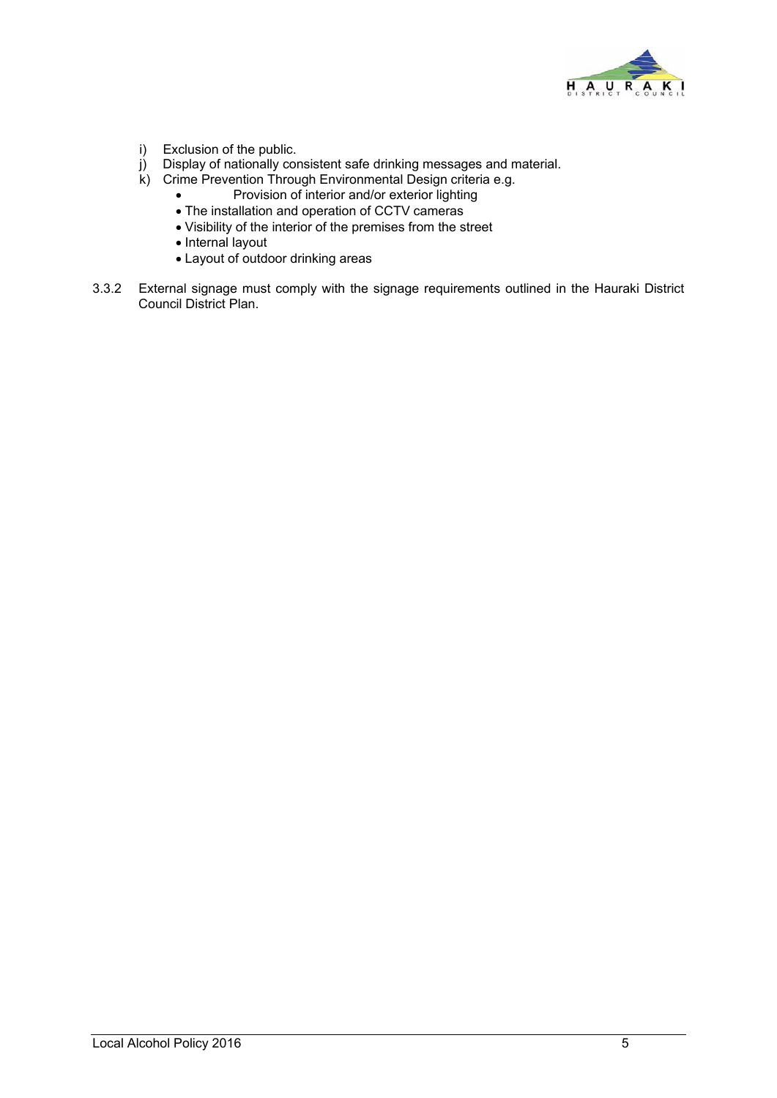

- i) Exclusion of the public.
- j) Display of nationally consistent safe drinking messages and material.
- k) Crime Prevention Through Environmental Design criteria e.g.
	- Provision of interior and/or exterior lighting
	- The installation and operation of CCTV cameras
	- Visibility of the interior of the premises from the street
	- Internal layout
	- Layout of outdoor drinking areas
- 3.3.2 External signage must comply with the signage requirements outlined in the Hauraki District Council District Plan.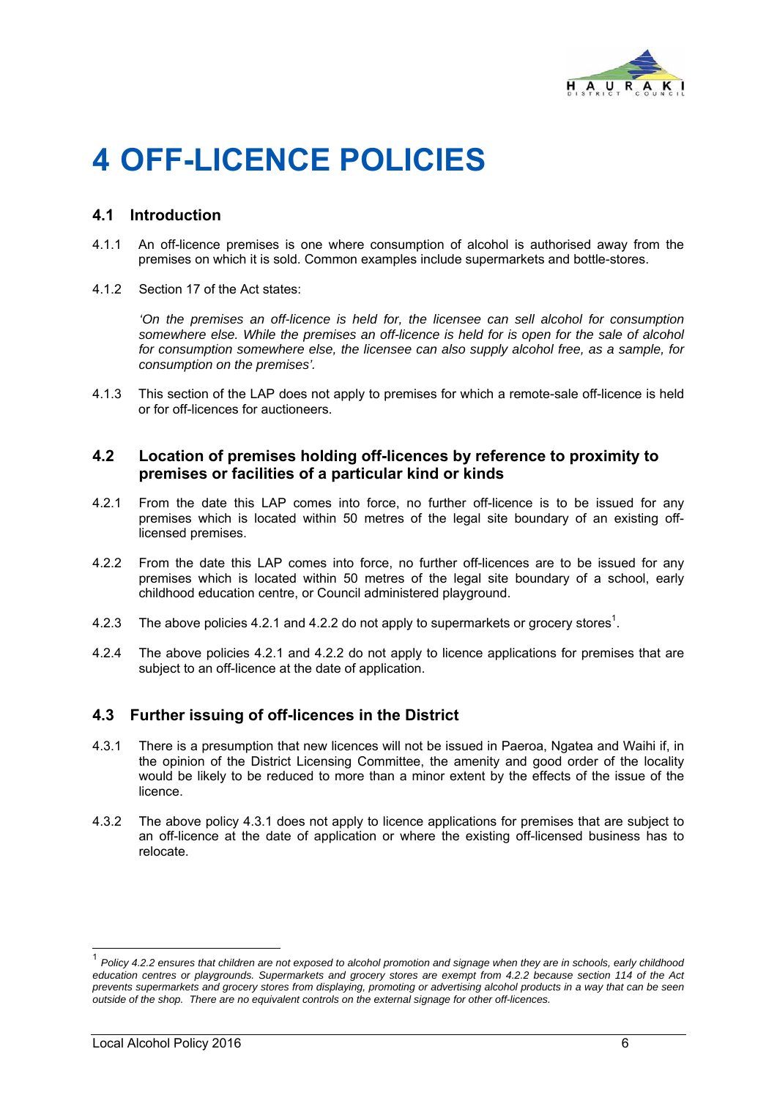

# **4 OFF-LICENCE POLICIES**

#### **4.1 Introduction**

- 4.1.1 An off-licence premises is one where consumption of alcohol is authorised away from the premises on which it is sold. Common examples include supermarkets and bottle-stores.
- 4.1.2 Section 17 of the Act states:

 *'On the premises an off-licence is held for, the licensee can sell alcohol for consumption somewhere else. While the premises an off-licence is held for is open for the sale of alcohol for consumption somewhere else, the licensee can also supply alcohol free, as a sample, for consumption on the premises'.* 

4.1.3 This section of the LAP does not apply to premises for which a remote-sale off-licence is held or for off-licences for auctioneers.

#### **4.2 Location of premises holding off-licences by reference to proximity to premises or facilities of a particular kind or kinds**

- 4.2.1 From the date this LAP comes into force, no further off-licence is to be issued for any premises which is located within 50 metres of the legal site boundary of an existing offlicensed premises.
- 4.2.2 From the date this LAP comes into force, no further off-licences are to be issued for any premises which is located within 50 metres of the legal site boundary of a school, early childhood education centre, or Council administered playground.
- 4.2.3 The above policies 4.2.1 and 4.2.2 do not apply to supermarkets or grocery stores<sup>1</sup>.
- 4.2.4 The above policies 4.2.1 and 4.2.2 do not apply to licence applications for premises that are subject to an off-licence at the date of application.

#### **4.3 Further issuing of off-licences in the District**

- 4.3.1 There is a presumption that new licences will not be issued in Paeroa, Ngatea and Waihi if, in the opinion of the District Licensing Committee, the amenity and good order of the locality would be likely to be reduced to more than a minor extent by the effects of the issue of the licence.
- 4.3.2 The above policy 4.3.1 does not apply to licence applications for premises that are subject to an off-licence at the date of application or where the existing off-licensed business has to relocate.

1

<sup>1</sup> *Policy 4.2.2 ensures that children are not exposed to alcohol promotion and signage when they are in schools, early childhood education centres or playgrounds. Supermarkets and grocery stores are exempt from 4.2.2 because section 114 of the Act prevents supermarkets and grocery stores from displaying, promoting or advertising alcohol products in a way that can be seen outside of the shop. There are no equivalent controls on the external signage for other off-licences.*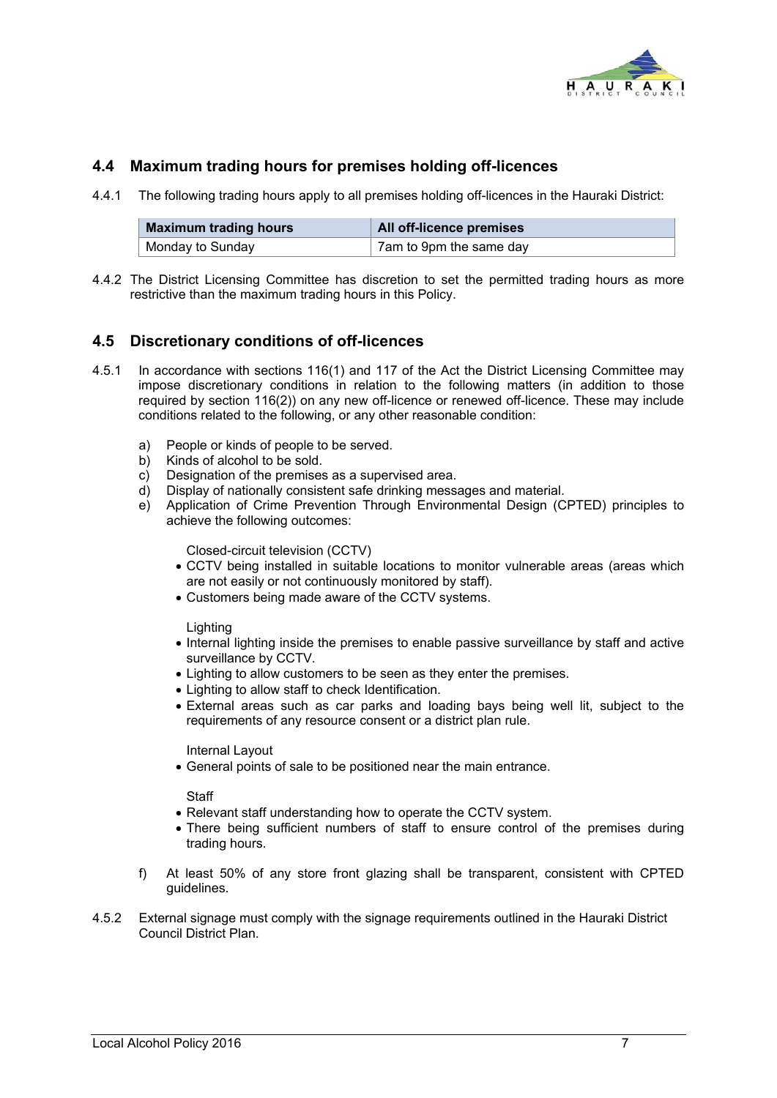

### **4.4 Maximum trading hours for premises holding off-licences**

4.4.1 The following trading hours apply to all premises holding off-licences in the Hauraki District:

| Maximum trading hours | All off-licence premises |  |
|-----------------------|--------------------------|--|
| Monday to Sunday      | 7am to 9pm the same day  |  |

4.4.2 The District Licensing Committee has discretion to set the permitted trading hours as more restrictive than the maximum trading hours in this Policy.

### **4.5 Discretionary conditions of off-licences**

- 4.5.1 In accordance with sections 116(1) and 117 of the Act the District Licensing Committee may impose discretionary conditions in relation to the following matters (in addition to those required by section 116(2)) on any new off-licence or renewed off-licence. These may include conditions related to the following, or any other reasonable condition:
	- a) People or kinds of people to be served.
	- b) Kinds of alcohol to be sold.
	- c) Designation of the premises as a supervised area.
	- d) Display of nationally consistent safe drinking messages and material.
	- e) Application of Crime Prevention Through Environmental Design (CPTED) principles to achieve the following outcomes:

Closed-circuit television (CCTV)

- CCTV being installed in suitable locations to monitor vulnerable areas (areas which are not easily or not continuously monitored by staff).
- Customers being made aware of the CCTV systems.

Lighting

- Internal lighting inside the premises to enable passive surveillance by staff and active surveillance by CCTV.
- Lighting to allow customers to be seen as they enter the premises.
- Lighting to allow staff to check Identification.
- External areas such as car parks and loading bays being well lit, subject to the requirements of any resource consent or a district plan rule.

Internal Layout

General points of sale to be positioned near the main entrance.

**Staff** 

- Relevant staff understanding how to operate the CCTV system.
- There being sufficient numbers of staff to ensure control of the premises during trading hours.
- f) At least 50% of any store front glazing shall be transparent, consistent with CPTED guidelines.
- 4.5.2 External signage must comply with the signage requirements outlined in the Hauraki District Council District Plan.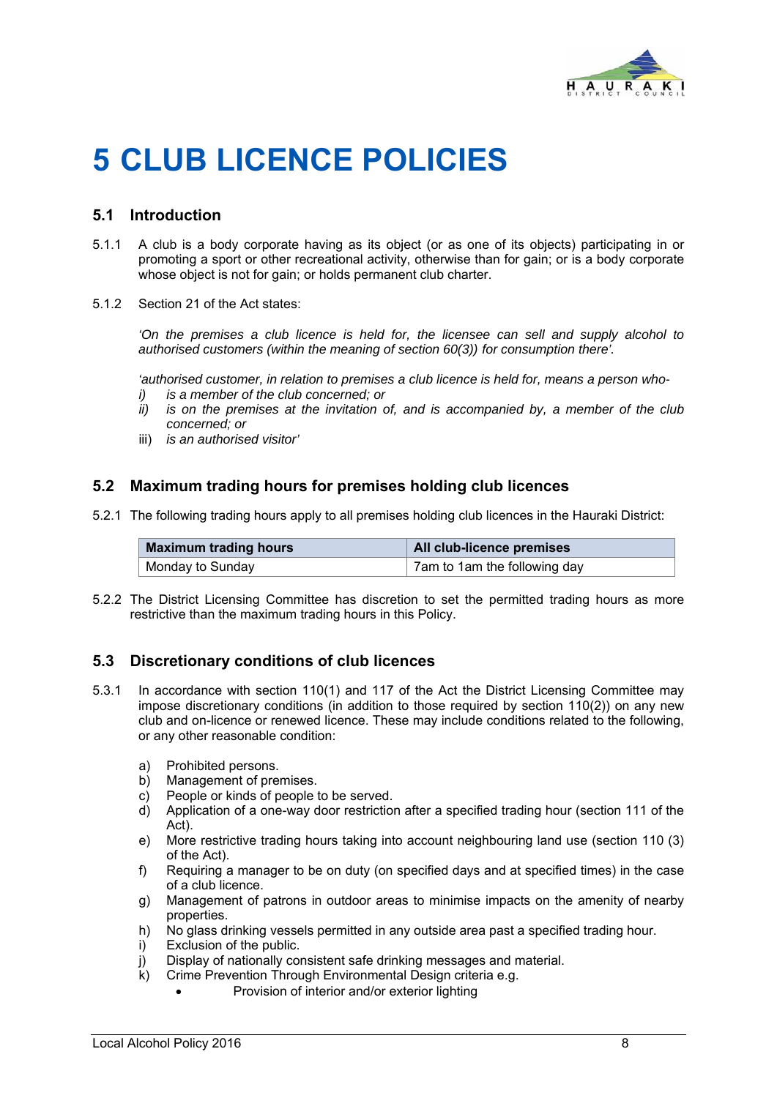

# **5 CLUB LICENCE POLICIES**

#### **5.1 Introduction**

- 5.1.1 A club is a body corporate having as its object (or as one of its objects) participating in or promoting a sport or other recreational activity, otherwise than for gain; or is a body corporate whose object is not for gain; or holds permanent club charter.
- 5.1.2 Section 21 of the Act states:

'On the premises a club licence is held for, the licensee can sell and supply alcohol to *authorised customers (within the meaning of section 60(3)) for consumption there'.* 

*'authorised customer, in relation to premises a club licence is held for, means a person who-*

- *i) is a member of the club concerned; or*
- *ii) is on the premises at the invitation of, and is accompanied by, a member of the club concerned; or*
- iii) *is an authorised visitor'*

#### **5.2 Maximum trading hours for premises holding club licences**

5.2.1 The following trading hours apply to all premises holding club licences in the Hauraki District:

| <b>Maximum trading hours</b> | <b>All club-licence premises</b> |  |
|------------------------------|----------------------------------|--|
| Monday to Sunday             | 7am to 1am the following day     |  |

5.2.2 The District Licensing Committee has discretion to set the permitted trading hours as more restrictive than the maximum trading hours in this Policy.

#### **5.3 Discretionary conditions of club licences**

- 5.3.1 In accordance with section 110(1) and 117 of the Act the District Licensing Committee may impose discretionary conditions (in addition to those required by section 110(2)) on any new club and on-licence or renewed licence. These may include conditions related to the following, or any other reasonable condition:
	- a) Prohibited persons.
	- b) Management of premises.
	- c) People or kinds of people to be served.
	- d) Application of a one-way door restriction after a specified trading hour (section 111 of the Act).
	- e) More restrictive trading hours taking into account neighbouring land use (section 110 (3) of the Act).
	- f) Requiring a manager to be on duty (on specified days and at specified times) in the case of a club licence.
	- g) Management of patrons in outdoor areas to minimise impacts on the amenity of nearby properties.
	- h) No glass drinking vessels permitted in any outside area past a specified trading hour.
	- i) Exclusion of the public.
	- j) Display of nationally consistent safe drinking messages and material.
	- k) Crime Prevention Through Environmental Design criteria e.g.
		- Provision of interior and/or exterior lighting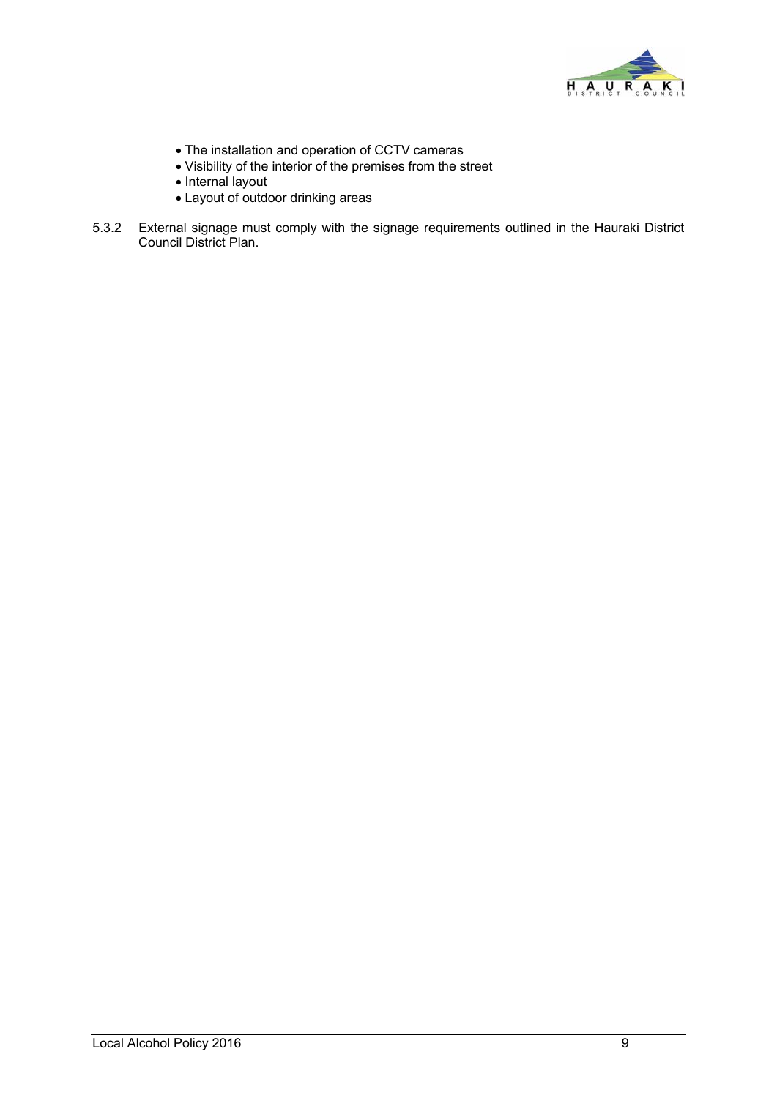

- The installation and operation of CCTV cameras
- Visibility of the interior of the premises from the street
- Internal layout
- Layout of outdoor drinking areas
- 5.3.2 External signage must comply with the signage requirements outlined in the Hauraki District Council District Plan.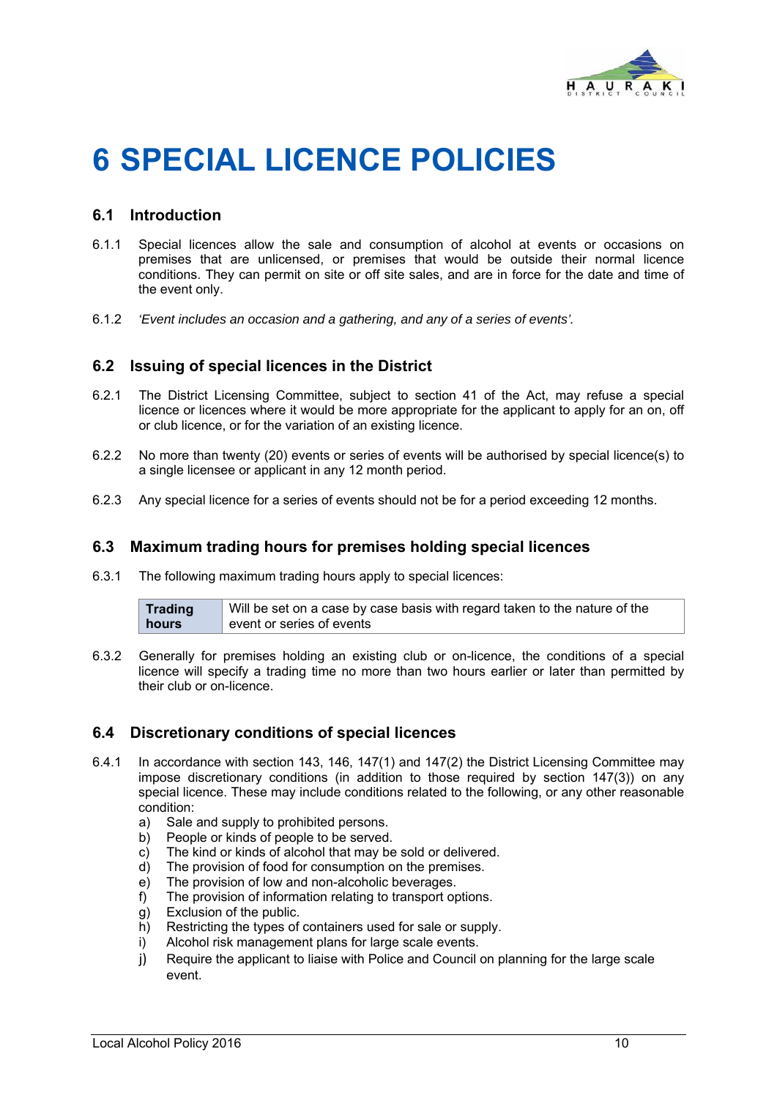

# **6 SPECIAL LICENCE POLICIES**

#### **6.1 Introduction**

- 6.1.1 Special licences allow the sale and consumption of alcohol at events or occasions on premises that are unlicensed, or premises that would be outside their normal licence conditions. They can permit on site or off site sales, and are in force for the date and time of the event only.
- 6.1.2 *'Event includes an occasion and a gathering, and any of a series of events'.*

#### **6.2 Issuing of special licences in the District**

- 6.2.1 The District Licensing Committee, subject to section 41 of the Act, may refuse a special licence or licences where it would be more appropriate for the applicant to apply for an on, off or club licence, or for the variation of an existing licence.
- 6.2.2 No more than twenty (20) events or series of events will be authorised by special licence(s) to a single licensee or applicant in any 12 month period.
- 6.2.3 Any special licence for a series of events should not be for a period exceeding 12 months.

#### **6.3 Maximum trading hours for premises holding special licences**

6.3.1 The following maximum trading hours apply to special licences:

| Trading | Will be set on a case by case basis with regard taken to the nature of the |
|---------|----------------------------------------------------------------------------|
| hours   | event or series of events                                                  |

6.3.2Generally for premises holding an existing club or on-licence, the conditions of a special licence will specify a trading time no more than two hours earlier or later than permitted by their club or on-licence.

#### **6.4 Discretionary conditions of special licences**

- 6.4.1 In accordance with section 143, 146, 147(1) and 147(2) the District Licensing Committee may impose discretionary conditions (in addition to those required by section 147(3)) on any special licence. These may include conditions related to the following, or any other reasonable condition:
	- a) Sale and supply to prohibited persons.
	- b) People or kinds of people to be served.
	- c) The kind or kinds of alcohol that may be sold or delivered.
	- d) The provision of food for consumption on the premises.
	- e) The provision of low and non-alcoholic beverages.
	- f) The provision of information relating to transport options.
	- g) Exclusion of the public.
	- h) Restricting the types of containers used for sale or supply.
	- i) Alcohol risk management plans for large scale events.
	- j) Require the applicant to liaise with Police and Council on planning for the large scale event.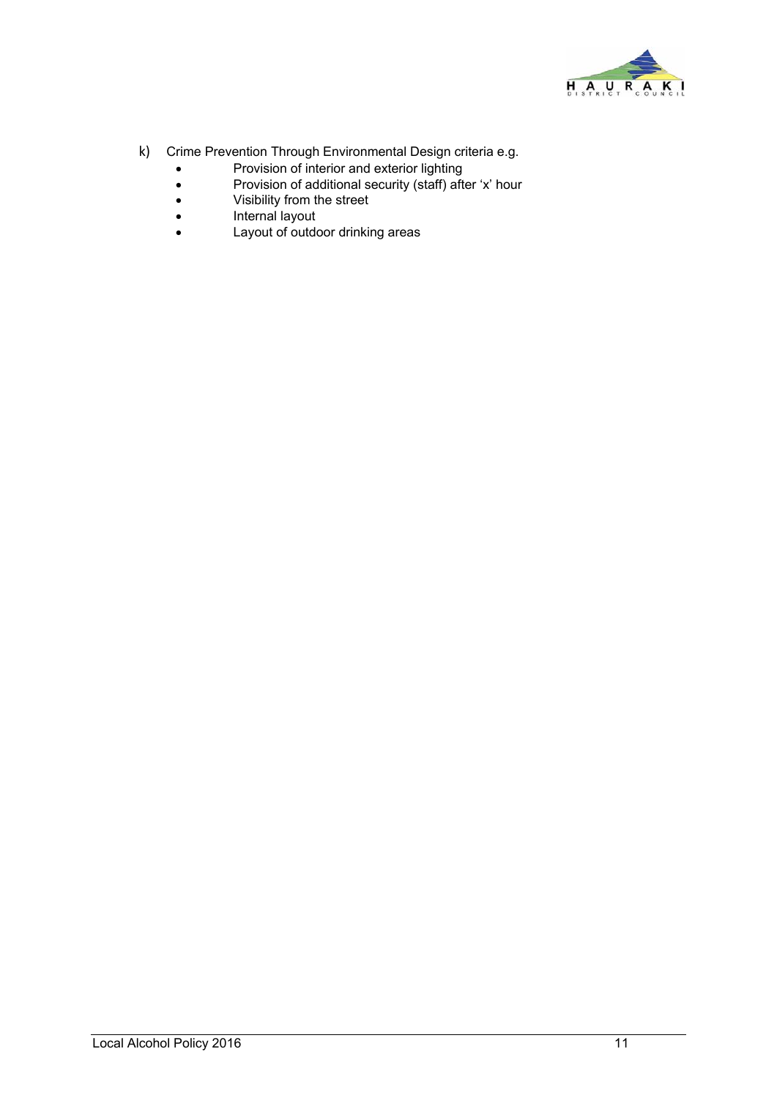

- k) Crime Prevention Through Environmental Design criteria e.g.
	- Provision of interior and exterior lighting
	- Provision of additional security (staff) after 'x' hour
	- Visibility from the street
	- Internal layout
	- Layout of outdoor drinking areas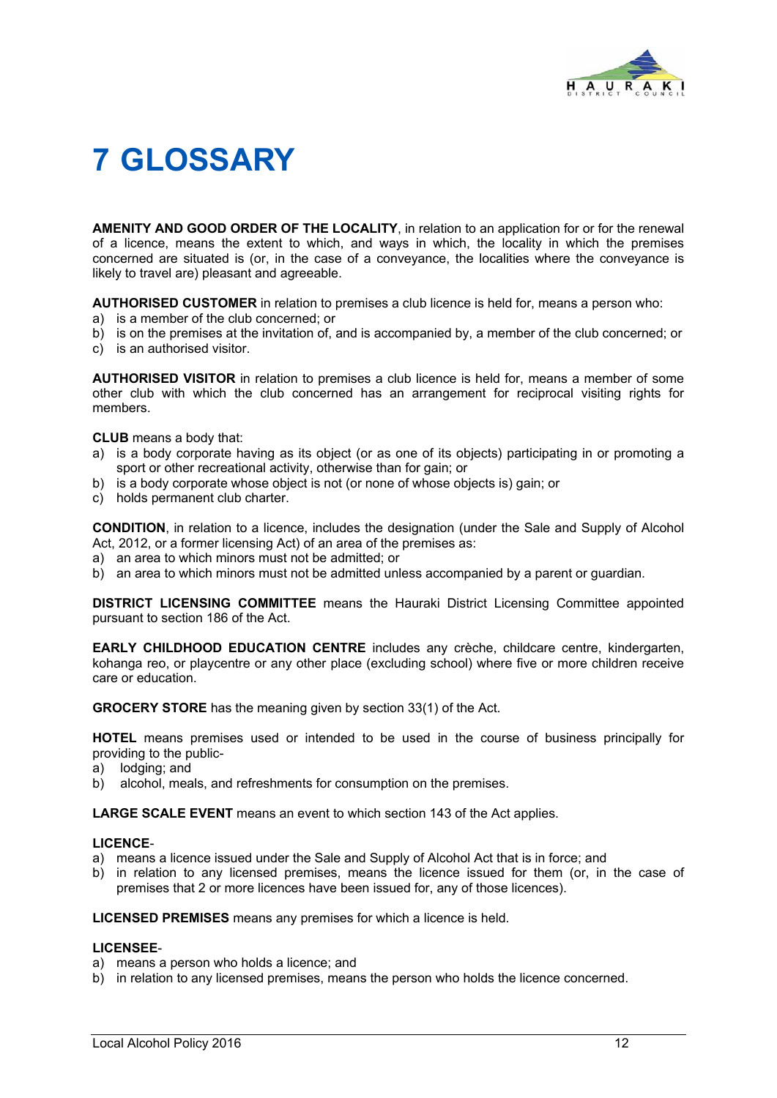

# **7 GLOSSARY**

**AMENITY AND GOOD ORDER OF THE LOCALITY**, in relation to an application for or for the renewal of a licence, means the extent to which, and ways in which, the locality in which the premises concerned are situated is (or, in the case of a conveyance, the localities where the conveyance is likely to travel are) pleasant and agreeable.

**AUTHORISED CUSTOMER** in relation to premises a club licence is held for, means a person who:

- a) is a member of the club concerned; or
- b) is on the premises at the invitation of, and is accompanied by, a member of the club concerned; or
- c) is an authorised visitor.

**AUTHORISED VISITOR** in relation to premises a club licence is held for, means a member of some other club with which the club concerned has an arrangement for reciprocal visiting rights for members.

**CLUB** means a body that:

- a) is a body corporate having as its object (or as one of its objects) participating in or promoting a sport or other recreational activity, otherwise than for gain; or
- b) is a body corporate whose object is not (or none of whose objects is) gain; or
- c) holds permanent club charter.

**CONDITION**, in relation to a licence, includes the designation (under the Sale and Supply of Alcohol Act, 2012, or a former licensing Act) of an area of the premises as:

- a) an area to which minors must not be admitted; or
- b) an area to which minors must not be admitted unless accompanied by a parent or guardian.

**DISTRICT LICENSING COMMITTEE** means the Hauraki District Licensing Committee appointed pursuant to section 186 of the Act.

**EARLY CHILDHOOD EDUCATION CENTRE** includes any crèche, childcare centre, kindergarten, kohanga reo, or playcentre or any other place (excluding school) where five or more children receive care or education.

**GROCERY STORE** has the meaning given by section 33(1) of the Act.

**HOTEL** means premises used or intended to be used in the course of business principally for providing to the public-

- a) lodging; and
- b) alcohol, meals, and refreshments for consumption on the premises.

**LARGE SCALE EVENT** means an event to which section 143 of the Act applies.

#### **LICENCE**-

- a) means a licence issued under the Sale and Supply of Alcohol Act that is in force; and
- b) in relation to any licensed premises, means the licence issued for them (or, in the case of premises that 2 or more licences have been issued for, any of those licences).

**LICENSED PREMISES** means any premises for which a licence is held.

#### **LICENSEE**-

- a) means a person who holds a licence; and
- b) in relation to any licensed premises, means the person who holds the licence concerned.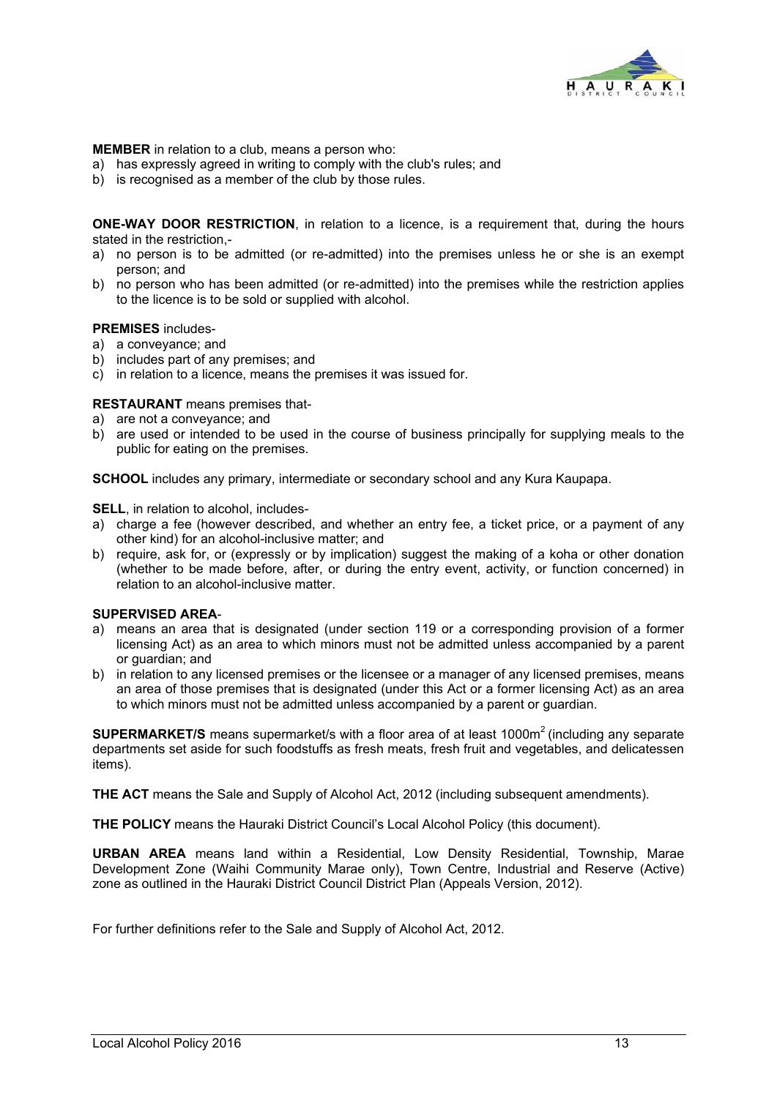

**MEMBER** in relation to a club, means a person who:

- a) has expressly agreed in writing to comply with the club's rules; and
- b) is recognised as a member of the club by those rules.

**ONE-WAY DOOR RESTRICTION**, in relation to a licence, is a requirement that, during the hours stated in the restriction -

- a) no person is to be admitted (or re-admitted) into the premises unless he or she is an exempt person; and
- b) no person who has been admitted (or re-admitted) into the premises while the restriction applies to the licence is to be sold or supplied with alcohol.

#### **PREMISES** includes-

- a) a conveyance; and
- b) includes part of any premises; and
- c) in relation to a licence, means the premises it was issued for.

#### **RESTAURANT** means premises that-

- a) are not a conveyance; and
- b) are used or intended to be used in the course of business principally for supplying meals to the public for eating on the premises.

**SCHOOL** includes any primary, intermediate or secondary school and any Kura Kaupapa.

**SELL**, in relation to alcohol, includes-

- a) charge a fee (however described, and whether an entry fee, a ticket price, or a payment of any other kind) for an alcohol-inclusive matter; and
- b) require, ask for, or (expressly or by implication) suggest the making of a koha or other donation (whether to be made before, after, or during the entry event, activity, or function concerned) in relation to an alcohol-inclusive matter.

#### **SUPERVISED AREA**-

- a) means an area that is designated (under section 119 or a corresponding provision of a former licensing Act) as an area to which minors must not be admitted unless accompanied by a parent or guardian; and
- b) in relation to any licensed premises or the licensee or a manager of any licensed premises, means an area of those premises that is designated (under this Act or a former licensing Act) as an area to which minors must not be admitted unless accompanied by a parent or guardian.

**SUPERMARKET/S** means supermarket/s with a floor area of at least 1000m<sup>2</sup> (including any separate departments set aside for such foodstuffs as fresh meats, fresh fruit and vegetables, and delicatessen items).

**THE ACT** means the Sale and Supply of Alcohol Act, 2012 (including subsequent amendments).

**THE POLICY** means the Hauraki District Council's Local Alcohol Policy (this document).

**URBAN AREA** means land within a Residential, Low Density Residential, Township, Marae Development Zone (Waihi Community Marae only), Town Centre, Industrial and Reserve (Active) zone as outlined in the Hauraki District Council District Plan (Appeals Version, 2012).

For further definitions refer to the Sale and Supply of Alcohol Act, 2012.